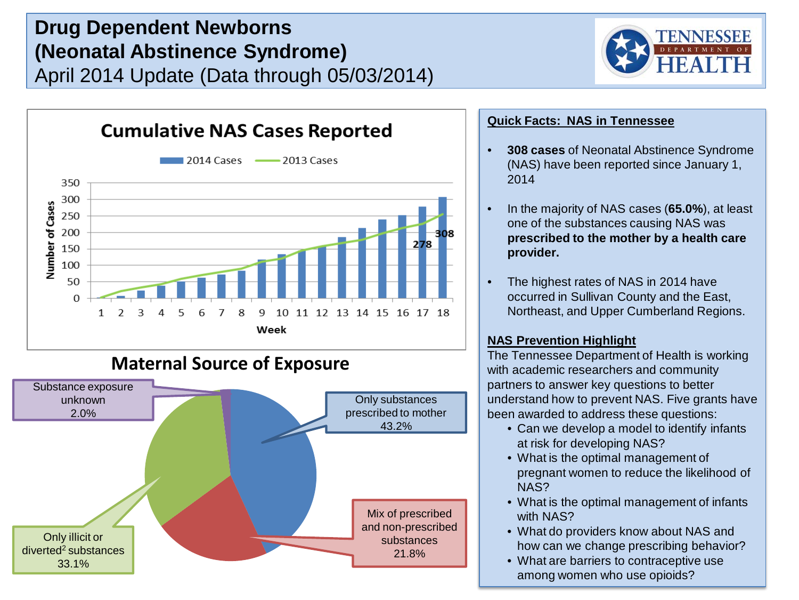# **Drug Dependent Newborns (Neonatal Abstinence Syndrome)** April 2014 Update (Data through 05/03/2014)





## **Maternal Source of Exposure**



## **Quick Facts: NAS in Tennessee**

- **308 cases** of Neonatal Abstinence Syndrome (NAS) have been reported since January 1, 2014
- In the majority of NAS cases (**65.0%**), at least one of the substances causing NAS was **prescribed to the mother by a health care provider.**
- The highest rates of NAS in 2014 have occurred in Sullivan County and the East, Northeast, and Upper Cumberland Regions.

## **NAS Prevention Highlight**

The Tennessee Department of Health is working with academic researchers and community partners to answer key questions to better understand how to prevent NAS. Five grants have been awarded to address these questions:

- Can we develop a model to identify infants at risk for developing NAS?
- What is the optimal management of pregnant women to reduce the likelihood of NAS?
- What is the optimal management of infants with NAS?
- What do providers know about NAS and how can we change prescribing behavior?
- What are barriers to contraceptive use among women who use opioids?